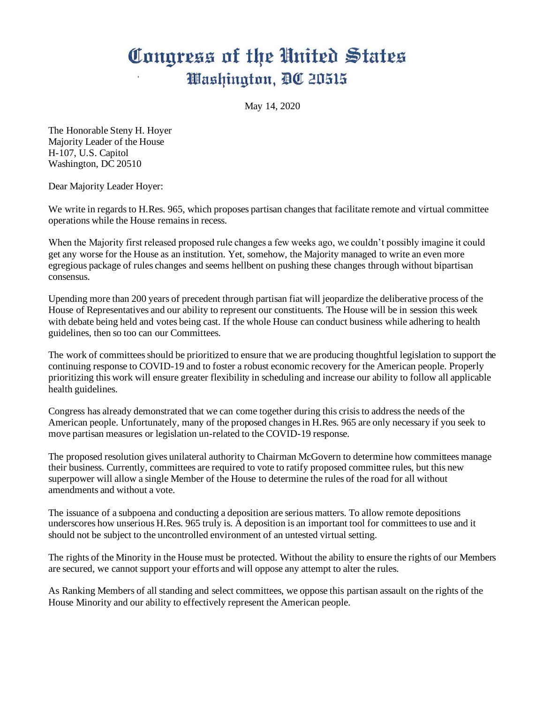## Congress of the United States Washington, DC 20515

May 14, 2020

The Honorable Steny H. Hoyer Majority Leader of the House H-107, U.S. Capitol Washington, DC 20510

Dear Majority Leader Hoyer:

We write in regards to H.Res. 965, which proposes partisan changes that facilitate remote and virtual committee operations while the House remains in recess.

When the Majority first released proposed rule changes a few weeks ago, we couldn't possibly imagine it could get any worse for the House as an institution. Yet, somehow, the Majority managed to write an even more egregious package of rules changes and seems hellbent on pushing these changes through without bipartisan consensus.

Upending more than 200 years of precedent through partisan fiat will jeopardize the deliberative process of the House of Representatives and our ability to represent our constituents. The House will be in session this week with debate being held and votes being cast. If the whole House can conduct business while adhering to health guidelines, then so too can our Committees.

The work of committees should be prioritized to ensure that we are producing thoughtful legislation to support the continuing response to COVID-19 and to foster a robust economic recovery for the American people. Properly prioritizing this work will ensure greater flexibility in scheduling and increase our ability to follow all applicable health guidelines.

Congress has already demonstrated that we can come together during this crisis to address the needs of the American people. Unfortunately, many of the proposed changes in H.Res. 965 are only necessary if you seek to move partisan measures or legislation un-related to the COVID-19 response.

The proposed resolution gives unilateral authority to Chairman McGovern to determine how committees manage their business. Currently, committees are required to vote to ratify proposed committee rules, but this new superpower will allow a single Member of the House to determine the rules of the road for all without amendments and without a vote.

The issuance of a subpoena and conducting a deposition are serious matters. To allow remote depositions underscores how unserious H.Res. 965 truly is. A deposition is an important tool for committees to use and it should not be subject to the uncontrolled environment of an untested virtual setting.

The rights of the Minority in the House must be protected. Without the ability to ensure the rights of our Members are secured, we cannot support your efforts and will oppose any attempt to alter the rules.

As Ranking Members of all standing and select committees, we oppose this partisan assault on the rights of the House Minority and our ability to effectively represent the American people.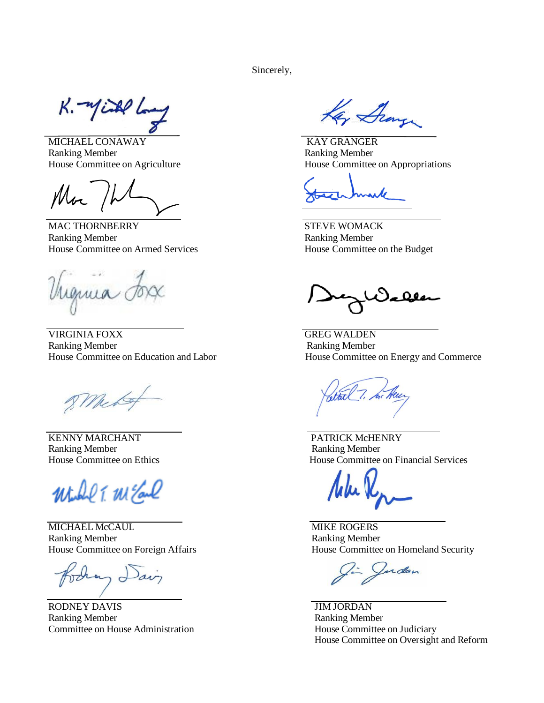Sincerely,

 $K - \eta$ iske

MICHAEL CONAWAY KAY GRANGER Ranking Member Ranking Member

Mar 1

MAC THORNBERRY STEVE WOMACK Ranking Member Ranking Member House Committee on Armed Services House Committee on the Budget

enua

VIRGINIA FOXX GREG WALDEN Ranking Member Ranking Member

8 Meto

KENNY MARCHANT PATRICK McHENRY Ranking Member **Ranking Member** 

Will T. MEal

MICHAEL McCAUL **MIKE ROGERS** Ranking Member **Ranking Member** 

 $m_{\Omega}$ 

RODNEY DAVIS JIM JORDAN Ranking Member Ranking Member Committee on House Administration House Committee on Judiciary

Kay Group

House Committee on Agriculture House Committee on Appropriations

House Committee on Education and Labor House Committee on Energy and Commerce

House Committee on Ethics House Committee on Financial Services

House Committee on Foreign Affairs House Committee on Homeland Security

Jardan

House Committee on Oversight and Reform